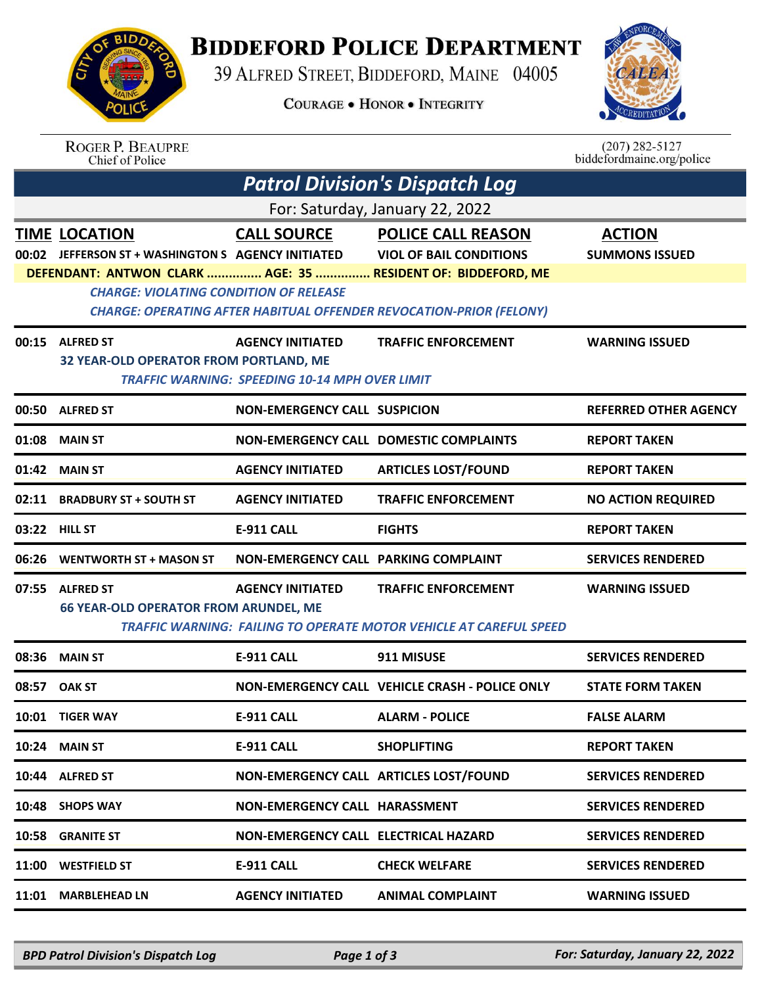

## **BIDDEFORD POLICE DEPARTMENT**

39 ALFRED STREET, BIDDEFORD, MAINE 04005

**COURAGE . HONOR . INTEGRITY** 



## ROGER P. BEAUPRE<br>Chief of Police

 $(207)$  282-5127<br>biddefordmaine.org/police

| <b>Patrol Division's Dispatch Log</b> |                                                                                                                             |                                                                                  |                                                                                                                             |                                        |  |  |  |  |
|---------------------------------------|-----------------------------------------------------------------------------------------------------------------------------|----------------------------------------------------------------------------------|-----------------------------------------------------------------------------------------------------------------------------|----------------------------------------|--|--|--|--|
| For: Saturday, January 22, 2022       |                                                                                                                             |                                                                                  |                                                                                                                             |                                        |  |  |  |  |
|                                       | <b>TIME LOCATION</b><br>00:02 JEFFERSON ST + WASHINGTON S AGENCY INITIATED                                                  | <b>CALL SOURCE</b>                                                               | <b>POLICE CALL REASON</b><br><b>VIOL OF BAIL CONDITIONS</b><br>DEFENDANT: ANTWON CLARK  AGE: 35  RESIDENT OF: BIDDEFORD, ME | <b>ACTION</b><br><b>SUMMONS ISSUED</b> |  |  |  |  |
|                                       | <b>CHARGE: VIOLATING CONDITION OF RELEASE</b><br><b>CHARGE: OPERATING AFTER HABITUAL OFFENDER REVOCATION-PRIOR (FELONY)</b> |                                                                                  |                                                                                                                             |                                        |  |  |  |  |
|                                       | 00:15 ALFRED ST<br>32 YEAR-OLD OPERATOR FROM PORTLAND, ME                                                                   | <b>AGENCY INITIATED</b><br><b>TRAFFIC WARNING: SPEEDING 10-14 MPH OVER LIMIT</b> | <b>TRAFFIC ENFORCEMENT</b>                                                                                                  | <b>WARNING ISSUED</b>                  |  |  |  |  |
|                                       | 00:50 ALFRED ST                                                                                                             | <b>NON-EMERGENCY CALL SUSPICION</b>                                              |                                                                                                                             | <b>REFERRED OTHER AGENCY</b>           |  |  |  |  |
| 01:08                                 | <b>MAIN ST</b>                                                                                                              |                                                                                  | NON-EMERGENCY CALL DOMESTIC COMPLAINTS                                                                                      | <b>REPORT TAKEN</b>                    |  |  |  |  |
| 01:42                                 | <b>MAIN ST</b>                                                                                                              | <b>AGENCY INITIATED</b>                                                          | <b>ARTICLES LOST/FOUND</b>                                                                                                  | <b>REPORT TAKEN</b>                    |  |  |  |  |
| 02:11                                 | <b>BRADBURY ST + SOUTH ST</b>                                                                                               | <b>AGENCY INITIATED</b>                                                          | <b>TRAFFIC ENFORCEMENT</b>                                                                                                  | <b>NO ACTION REQUIRED</b>              |  |  |  |  |
|                                       | 03:22 HILL ST                                                                                                               | <b>E-911 CALL</b>                                                                | <b>FIGHTS</b>                                                                                                               | <b>REPORT TAKEN</b>                    |  |  |  |  |
| 06:26                                 | <b>WENTWORTH ST + MASON ST</b>                                                                                              | NON-EMERGENCY CALL PARKING COMPLAINT                                             |                                                                                                                             | <b>SERVICES RENDERED</b>               |  |  |  |  |
| 07:55                                 | <b>ALFRED ST</b><br><b>66 YEAR-OLD OPERATOR FROM ARUNDEL, ME</b>                                                            | <b>AGENCY INITIATED</b>                                                          | <b>TRAFFIC ENFORCEMENT</b><br>TRAFFIC WARNING: FAILING TO OPERATE MOTOR VEHICLE AT CAREFUL SPEED                            | <b>WARNING ISSUED</b>                  |  |  |  |  |
| 08:36                                 | <b>MAIN ST</b>                                                                                                              | <b>E-911 CALL</b>                                                                | 911 MISUSE                                                                                                                  | <b>SERVICES RENDERED</b>               |  |  |  |  |
| 08:57                                 | <b>OAK ST</b>                                                                                                               |                                                                                  | NON-EMERGENCY CALL VEHICLE CRASH - POLICE ONLY                                                                              | <b>STATE FORM TAKEN</b>                |  |  |  |  |
|                                       | 10:01 TIGER WAY                                                                                                             | <b>E-911 CALL</b>                                                                | <b>ALARM - POLICE</b>                                                                                                       | <b>FALSE ALARM</b>                     |  |  |  |  |
|                                       | <b>10:24 MAIN ST</b>                                                                                                        | E-911 CALL                                                                       | <b>SHOPLIFTING</b>                                                                                                          | <b>REPORT TAKEN</b>                    |  |  |  |  |
|                                       | 10:44 ALFRED ST                                                                                                             |                                                                                  | NON-EMERGENCY CALL ARTICLES LOST/FOUND                                                                                      | <b>SERVICES RENDERED</b>               |  |  |  |  |
| 10:48                                 | <b>SHOPS WAY</b>                                                                                                            | NON-EMERGENCY CALL HARASSMENT                                                    |                                                                                                                             | <b>SERVICES RENDERED</b>               |  |  |  |  |
| 10:58                                 | <b>GRANITE ST</b>                                                                                                           | NON-EMERGENCY CALL ELECTRICAL HAZARD                                             |                                                                                                                             | <b>SERVICES RENDERED</b>               |  |  |  |  |
| 11:00                                 | <b>WESTFIELD ST</b>                                                                                                         | E-911 CALL                                                                       | <b>CHECK WELFARE</b>                                                                                                        | <b>SERVICES RENDERED</b>               |  |  |  |  |
| 11:01                                 | <b>MARBLEHEAD LN</b>                                                                                                        | <b>AGENCY INITIATED</b>                                                          | <b>ANIMAL COMPLAINT</b>                                                                                                     | <b>WARNING ISSUED</b>                  |  |  |  |  |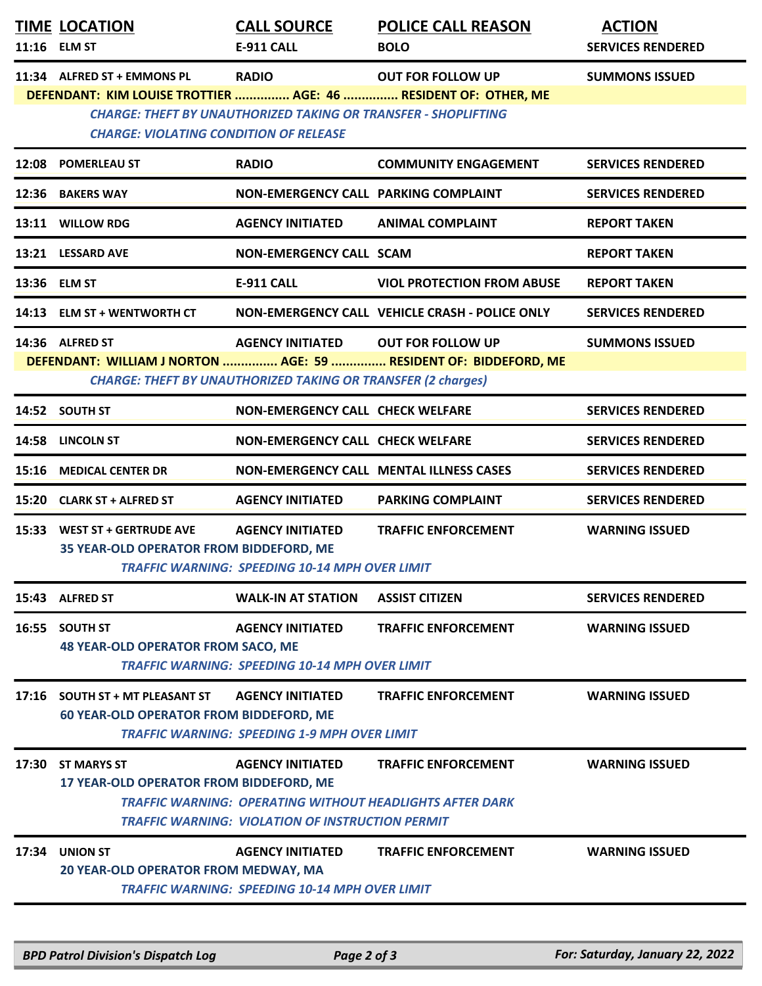|       | <b>TIME LOCATION</b><br>11:16 ELM ST                                              | <b>CALL SOURCE</b><br>E-911 CALL                                                                          | <b>POLICE CALL REASON</b><br><b>BOLO</b>                                                      | <b>ACTION</b><br><b>SERVICES RENDERED</b> |
|-------|-----------------------------------------------------------------------------------|-----------------------------------------------------------------------------------------------------------|-----------------------------------------------------------------------------------------------|-------------------------------------------|
|       | 11:34 ALFRED ST + EMMONS PL                                                       | <b>RADIO</b>                                                                                              | <b>OUT FOR FOLLOW UP</b><br>DEFENDANT: KIM LOUISE TROTTIER  AGE: 46  RESIDENT OF: OTHER, ME   | <b>SUMMONS ISSUED</b>                     |
|       | <b>CHARGE: VIOLATING CONDITION OF RELEASE</b>                                     | <b>CHARGE: THEFT BY UNAUTHORIZED TAKING OR TRANSFER - SHOPLIFTING</b>                                     |                                                                                               |                                           |
|       | 12:08 POMERLEAU ST                                                                | <b>RADIO</b>                                                                                              | <b>COMMUNITY ENGAGEMENT</b>                                                                   | <b>SERVICES RENDERED</b>                  |
|       | 12:36 BAKERS WAY                                                                  | NON-EMERGENCY CALL PARKING COMPLAINT                                                                      |                                                                                               | <b>SERVICES RENDERED</b>                  |
|       | 13:11 WILLOW RDG                                                                  | <b>AGENCY INITIATED</b>                                                                                   | <b>ANIMAL COMPLAINT</b>                                                                       | <b>REPORT TAKEN</b>                       |
|       | 13:21 LESSARD AVE                                                                 | <b>NON-EMERGENCY CALL SCAM</b>                                                                            |                                                                                               | <b>REPORT TAKEN</b>                       |
|       | 13:36 ELM ST                                                                      | <b>E-911 CALL</b>                                                                                         | <b>VIOL PROTECTION FROM ABUSE</b>                                                             | <b>REPORT TAKEN</b>                       |
|       | 14:13 ELM ST + WENTWORTH CT                                                       |                                                                                                           | NON-EMERGENCY CALL VEHICLE CRASH - POLICE ONLY                                                | <b>SERVICES RENDERED</b>                  |
|       | 14:36 ALFRED ST                                                                   | AGENCY INITIATED OUT FOR FOLLOW UP<br><b>CHARGE: THEFT BY UNAUTHORIZED TAKING OR TRANSFER (2 charges)</b> | DEFENDANT: WILLIAM J NORTON  AGE: 59  RESIDENT OF: BIDDEFORD, ME                              | <b>SUMMONS ISSUED</b>                     |
|       | 14:52 SOUTH ST                                                                    | <b>NON-EMERGENCY CALL CHECK WELFARE</b>                                                                   |                                                                                               | <b>SERVICES RENDERED</b>                  |
|       | 14:58 LINCOLN ST                                                                  | <b>NON-EMERGENCY CALL CHECK WELFARE</b>                                                                   |                                                                                               | <b>SERVICES RENDERED</b>                  |
|       | 15:16 MEDICAL CENTER DR                                                           |                                                                                                           | <b>NON-EMERGENCY CALL MENTAL ILLNESS CASES</b>                                                | <b>SERVICES RENDERED</b>                  |
|       | 15:20 CLARK ST + ALFRED ST                                                        | <b>AGENCY INITIATED</b>                                                                                   | <b>PARKING COMPLAINT</b>                                                                      | <b>SERVICES RENDERED</b>                  |
| 15:33 | <b>WEST ST + GERTRUDE AVE</b><br>35 YEAR-OLD OPERATOR FROM BIDDEFORD, ME          | <b>AGENCY INITIATED</b><br><b>TRAFFIC WARNING: SPEEDING 10-14 MPH OVER LIMIT</b>                          | <b>TRAFFIC ENFORCEMENT</b>                                                                    | <b>WARNING ISSUED</b>                     |
|       | 15:43 ALFRED ST                                                                   | <b>WALK-IN AT STATION</b>                                                                                 | <b>ASSIST CITIZEN</b>                                                                         | <b>SERVICES RENDERED</b>                  |
| 16:55 | <b>SOUTH ST</b><br><b>48 YEAR-OLD OPERATOR FROM SACO, ME</b>                      | <b>AGENCY INITIATED</b><br><b>TRAFFIC WARNING: SPEEDING 10-14 MPH OVER LIMIT</b>                          | <b>TRAFFIC ENFORCEMENT</b>                                                                    | <b>WARNING ISSUED</b>                     |
|       | 17:16 SOUTH ST + MT PLEASANT ST<br><b>60 YEAR-OLD OPERATOR FROM BIDDEFORD, ME</b> | <b>AGENCY INITIATED</b><br><b>TRAFFIC WARNING: SPEEDING 1-9 MPH OVER LIMIT</b>                            | <b>TRAFFIC ENFORCEMENT</b>                                                                    | <b>WARNING ISSUED</b>                     |
| 17:30 | <b>ST MARYS ST</b><br>17 YEAR-OLD OPERATOR FROM BIDDEFORD, ME                     | <b>AGENCY INITIATED</b><br>TRAFFIC WARNING: VIOLATION OF INSTRUCTION PERMIT                               | <b>TRAFFIC ENFORCEMENT</b><br><b>TRAFFIC WARNING: OPERATING WITHOUT HEADLIGHTS AFTER DARK</b> | <b>WARNING ISSUED</b>                     |
| 17:34 | <b>UNION ST</b><br>20 YEAR-OLD OPERATOR FROM MEDWAY, MA                           | <b>AGENCY INITIATED</b><br><b>TRAFFIC WARNING: SPEEDING 10-14 MPH OVER LIMIT</b>                          | <b>TRAFFIC ENFORCEMENT</b>                                                                    | <b>WARNING ISSUED</b>                     |